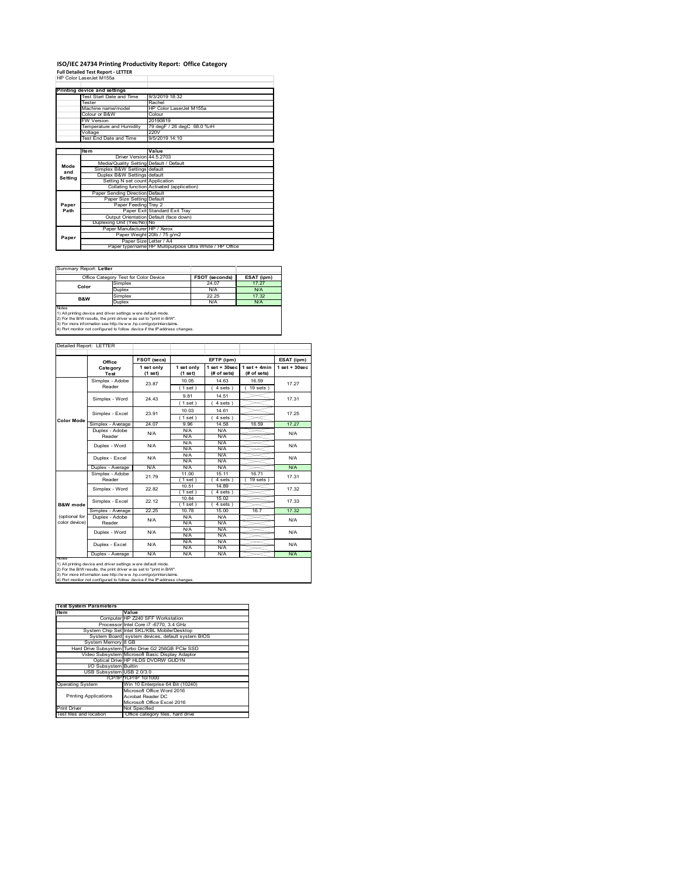## **ISO/IEC 24734 Printing Productivity Report: Office Category Full Detailed Test Report ‐ LETTER** HP Color LaserJet M155a

|         | ווו טטוטונמסטוטטנואווטטפ                |                                                         |
|---------|-----------------------------------------|---------------------------------------------------------|
|         |                                         |                                                         |
|         | Printing device and settings            |                                                         |
|         | Test Start Date and Time                | 9/3/2019 18:32                                          |
|         | Tester                                  | Rachel                                                  |
|         | Machine name/model                      | HP Color LaserJet M155a                                 |
|         | Colour or B&W                           | Colour                                                  |
|         | <b>FW Version</b>                       | 20190819                                                |
|         | Temperature and Humidity                | 79 degF / 26 degC 68.0 %rH                              |
|         | Voltage                                 | 220V                                                    |
|         | Test End Date and Time                  | 9/5/2019 14:10                                          |
|         |                                         |                                                         |
|         | <b>Item</b>                             | Value                                                   |
|         | Driver Version 44.5.2703                |                                                         |
| Mode    | Media/Quality Setting Default / Default |                                                         |
| and     | Simplex B&W Settings default            |                                                         |
| Setting | Duplex B&W Settings default             |                                                         |
|         | Setting N set count Application         |                                                         |
|         |                                         | Collating function Activated (application)              |
|         | Paper Sending Direction Default         |                                                         |
|         | Paper Size Setting Default              |                                                         |
| Paper   | Paper Feeding Trav 2                    |                                                         |
| Path    |                                         | Paper Exit Standard Exit Trav                           |
|         |                                         | Output Orientation Default (face down)                  |
|         | Duplexing Unit (Yes/No) No              |                                                         |
|         | Paper Manufacturer HP / Xerox           |                                                         |
| Paper   |                                         | Paper Weight 20lb / 75 g/m2                             |
|         |                                         | Paper Size Letter / A4                                  |
|         |                                         | Paper type/name HP Multipurpose Ultra White / HP Office |

Summary Report: Lette

| -----------------------------                                              |                                                                 |                       |            |  |  |  |  |
|----------------------------------------------------------------------------|-----------------------------------------------------------------|-----------------------|------------|--|--|--|--|
| Office Category Test for Color Device                                      |                                                                 | <b>FSOT (seconds)</b> | ESAT (ipm) |  |  |  |  |
| Color                                                                      | Simplex                                                         | 24.07                 | 17 27      |  |  |  |  |
|                                                                            | Duplex                                                          | N/A                   | N/A        |  |  |  |  |
| <b>B&amp;W</b>                                                             | Simplex                                                         | 22.25                 | 17.32      |  |  |  |  |
|                                                                            | Duplex                                                          | N/A                   | N/A        |  |  |  |  |
| <b>Notes</b>                                                               |                                                                 |                       |            |  |  |  |  |
| 1) All printing device and driver settings were default mode.              |                                                                 |                       |            |  |  |  |  |
| 2) For the B/W results, the print driver was set to "print in B/W".        |                                                                 |                       |            |  |  |  |  |
|                                                                            | 3) For more information see http://www.hp.com/go/printerclaims. |                       |            |  |  |  |  |
| 4) Port monitor not configured to follow device if the IP address changes. |                                                                 |                       |            |  |  |  |  |

|                                |                            | <b>FSOT (secs)</b>      |                         | EFTP (ipm)                                     |                                | ESAT (ipm)        |
|--------------------------------|----------------------------|-------------------------|-------------------------|------------------------------------------------|--------------------------------|-------------------|
|                                | Office<br>Category<br>Test | 1 set only<br>$(1$ set) | 1 set only<br>$(1$ set) | $1$ set $+30$ sec<br>$(H \circ f \text{sets})$ | $1$ set + 4min<br>$#$ of sets) | $1$ set $+30$ sec |
|                                | Simplex - Adobe<br>Reader  | 23.87                   | 10.05                   | 14.63                                          | 16.59                          | 17.27             |
|                                |                            |                         | (1 set)<br>9.81         | $4 sets$ )<br>14.51                            | $19$ sets $)$                  |                   |
|                                | Simplex - Word             | 24 43                   | 1 set)                  | $4 sets$ )                                     |                                | 17.31             |
|                                | Simplex - Excel            | 23.91                   | 10.03                   | 14 61                                          |                                | 17.25             |
| Color Mode                     | Simplex - Average          | 24.07                   | (1 set)<br>9.96         | $4 sets$ )<br>14.58                            | 16.59                          | 17 27             |
|                                | Duplex - Adobe<br>Reader   | N/A                     | N/A<br>N/A              | N/A<br>N/A                                     |                                | N/A               |
|                                | Duplex - Word              | N/A                     | N/A<br>N/A              | N/A<br>N/A                                     |                                | N/A               |
|                                | Duplex - Excel             | N/A                     | N/A<br>N/A              | N/A<br>N/A                                     |                                | N/A               |
|                                | Duplex - Average           | N/A                     | N/A                     | N/A                                            |                                | <b>N/A</b>        |
|                                | Simplex - Adobe<br>Reader  | 21.79                   | 11.00<br>(1 set)        | 15.11<br>4 sets)                               | 1671<br>19 sets                | 17.31             |
|                                | Simplex - Word             | 22.82                   | 10.51<br>(1 set)        | 14.89<br>4 sets)                               |                                | 17.32             |
| B&W mode                       | Simplex - Excel            | 22.12                   | 10.84<br>(1 set)        | 15.02<br>4 sets)                               |                                | 17.33             |
|                                | Simplex - Average          | 22.25                   | 10 78                   | 15.00                                          | 167                            | 17.32             |
| (optional for<br>color device) | Duplex - Adobe<br>Reader   | N/A                     | N/A<br>N/A              | N/A<br>N/A                                     |                                | N/A               |
|                                | Duplex - Word              | N/A                     | N/A<br>N/A              | N/A<br>N/A                                     |                                | N/A               |
|                                | Duplex - Excel             | N/A                     | N/A<br>N/A              | N/A<br>N/A                                     |                                | N/A               |
|                                | Duplex - Average           | N/A                     | N/A                     | N/A                                            |                                | N/A               |

2) For the B/W results, the print driver w as set to "print in B/W".<br>3) For more information see http://w w w .hp.com/go/printerclaims.<br>4) Port monitor not configured to follow device if the IP address changes.

| <b>Test System Parameters</b> |                                                    |  |  |  |
|-------------------------------|----------------------------------------------------|--|--|--|
| Item                          | Value                                              |  |  |  |
|                               | Computer HP Z240 SFF Workstation                   |  |  |  |
|                               | Processor Intel Core i7 -6770, 3.4 GHz             |  |  |  |
|                               | System Chip Set Intel SKL/KBL Mobile/Desktop       |  |  |  |
|                               | System Board system devices, default system BIOS   |  |  |  |
| System Memory 8 GB            |                                                    |  |  |  |
|                               | Hard Drive Subsystem Turbo Drive G2 256GB PCle SSD |  |  |  |
|                               | Video Subsystem Microsoft Basic Display Adaptor    |  |  |  |
|                               | Optical Drive HP HLDS DVDRW GUD1N                  |  |  |  |
| I/O Subsystem Builtin         |                                                    |  |  |  |
| USB Subsystem USB 2.0/3.0     |                                                    |  |  |  |
|                               | TCP/IP TCP/IP 10/1000                              |  |  |  |
| <b>Operating System</b>       | Win 10 Enterprise 64 Bit (10240)                   |  |  |  |
|                               | Microsoft Office Word 2016                         |  |  |  |
| <b>Printing Applications</b>  | Acrobat Reader DC                                  |  |  |  |
|                               | Microsoft Office Excel 2016                        |  |  |  |
| Print Driver                  | Not Specified                                      |  |  |  |
| Test files and location       | Office category files, hard drive                  |  |  |  |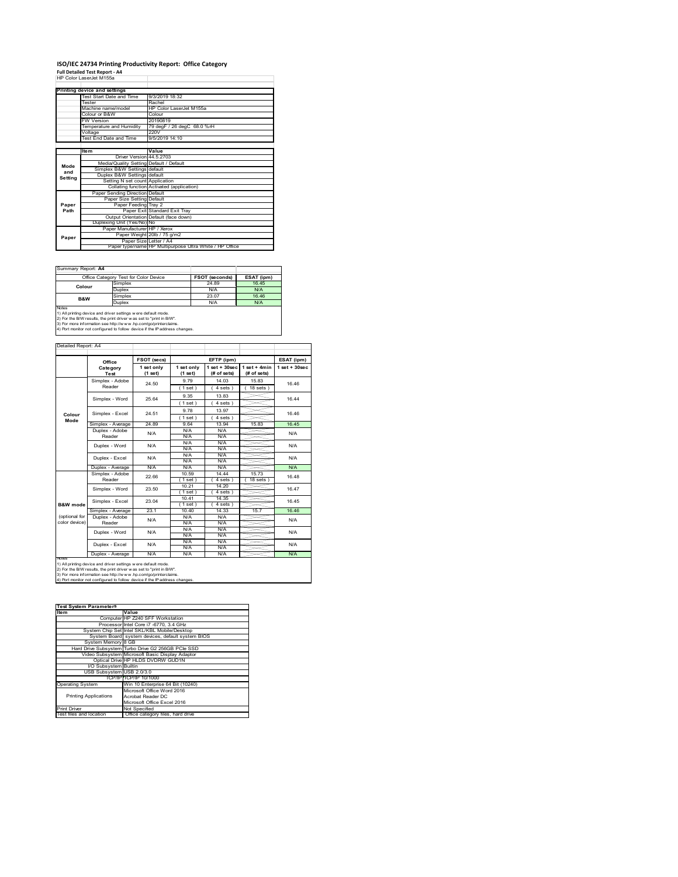# **ISO/IEC 24734 Printing Productivity Report: Office Category Full Detailed Test Report ‐ A4** HP Color LaserJet M155a

|         | ווו טטוטונפוסטוטטע וווו                 |                                                         |
|---------|-----------------------------------------|---------------------------------------------------------|
|         |                                         |                                                         |
|         | Printing device and settings            |                                                         |
|         | Test Start Date and Time                | 9/3/2019 18:32                                          |
|         | Tester                                  | Rachel                                                  |
|         | Machine name/model                      | HP Color LaserJet M155a                                 |
|         | Colour or B&W                           | Colour                                                  |
|         | <b>FW Version</b>                       | 20190819                                                |
|         | Temperature and Humidity                | 79 degF / 26 degC 68.0 %rH                              |
|         | Voltage                                 | 220V                                                    |
|         | Test End Date and Time                  | 9/5/2019 14:10                                          |
|         |                                         |                                                         |
|         | <b>Item</b>                             | Value                                                   |
|         | Driver Version 44.5.2703                |                                                         |
| Mode    | Media/Quality Setting Default / Default |                                                         |
| and     | Simplex B&W Settings default            |                                                         |
|         | Duplex B&W Settings default             |                                                         |
| Setting | Setting N set count Application         |                                                         |
|         |                                         | Collating function Activated (application)              |
|         | Paper Sending Direction Default         |                                                         |
|         | Paper Size Setting Default              |                                                         |
| Paper   | Paper Feeding Tray 2                    |                                                         |
| Path    |                                         | Paper Exit Standard Exit Tray                           |
|         |                                         | Output Orientation Default (face down)                  |
|         | Duplexing Unit (Yes/No) No              |                                                         |
|         | Paper Manufacturer HP / Xerox           |                                                         |
|         |                                         | Paper Weight 20lb / 75 g/m2                             |
| Paper   |                                         | Paper Size Letter / A4                                  |
|         |                                         | Paper type/name HP Multipurpose Ultra White / HP Office |

Summary Report: **A4**

| <u> Julianu I IV</u>                                                       |                                                                 |                |            |  |  |  |  |
|----------------------------------------------------------------------------|-----------------------------------------------------------------|----------------|------------|--|--|--|--|
|                                                                            | Office Category Test for Color Device                           | FSOT (seconds) | ESAT (ipm) |  |  |  |  |
| Colour                                                                     | Simplex                                                         | 24.89          | 16.45      |  |  |  |  |
|                                                                            | Duplex                                                          | N/A            | N/A        |  |  |  |  |
| <b>B&amp;W</b>                                                             | Simplex                                                         | 23.07          | 16.46      |  |  |  |  |
|                                                                            | Duplex                                                          | N/A            | N/A        |  |  |  |  |
| Notes                                                                      |                                                                 |                |            |  |  |  |  |
|                                                                            | 1) All printing device and driver settings were default mode.   |                |            |  |  |  |  |
| 2) For the B/W results, the print driver was set to "print in B/W".        |                                                                 |                |            |  |  |  |  |
|                                                                            | 3) For more information see http://www.hp.com/go/printerclaims. |                |            |  |  |  |  |
| 4) Port monitor not configured to follow device if the IP address changes. |                                                                 |                |            |  |  |  |  |

—⊢

—∟

and the

#### Detailed Report: A4

|                | Office                | FSOT (secs) |            | EFTP (ipm)         |                | ESAT (ipm)        |  |
|----------------|-----------------------|-------------|------------|--------------------|----------------|-------------------|--|
|                | Category              | 1 set only  | 1 set only | $1$ set + $30$ sec | $1$ set + 4min | $1$ set $+30$ sec |  |
|                | Test                  | (1 set)     | (1 set)    | $#$ of sets)       | (# of sets)    |                   |  |
|                | Simplex - Adobe       | 24.50       | 9 7 9      | 14 03              | 1583           | 1646              |  |
|                | Reader                |             | (1 set)    | $4 sets$ )         | $18$ sets $)$  |                   |  |
|                | Simplex - Word        | 25.64       | 9.35       | 13.83              |                | 16 44             |  |
|                |                       |             | (1 set)    | $4 sets$ )         |                |                   |  |
|                | Simplex - Excel       | 24.51       | 9.78       | 13.97              |                | 1646              |  |
| Colour<br>Mode |                       |             | (1 set)    | 4 sets)            |                |                   |  |
|                | Simplex - Average     | 24.89       | 9.64       | 13.94              | 15.83          | 16.45             |  |
|                | Duplex - Adobe        | N/A         | N/A        | N/A                |                | N/A               |  |
|                | Reader                |             | N/A        | N/A                |                |                   |  |
|                | Duplex - Word         | N/A         | N/A        | N/A                |                | N/A               |  |
|                |                       |             | N/A        | N/A                |                |                   |  |
|                | N/A<br>Duplex - Excel |             | N/A        | N/A                |                | N/A               |  |
|                |                       |             | N/A        | N/A                |                |                   |  |
|                | Duplex - Average      | N/A         | N/A        | N/A                |                | <b>N/A</b>        |  |
|                | Simplex - Adobe       | 22.66       | 10.59      | 14.44              | 15.73          | 16.48             |  |
|                | Reader                |             | (1 set)    | 4 sets 1           | $18$ sets $)$  |                   |  |
|                | Simplex - Word        | 23.50       | 10.21      | 14.20              |                | 16.47             |  |
|                |                       |             | (1 set)    | 4 sets)            |                |                   |  |
|                | Simplex - Excel       | 23.04       | 10.41      | 14.35              |                | 16 45             |  |
| B&W mode       |                       |             | $1$ set)   | 4 sets)            |                |                   |  |
|                | Simplex - Average     | 231         | 10 40      | 14.33              | 15.7           | 1646              |  |
| (optional for  | Duplex - Adobe        | N/A         | N/A        | N/A                |                | N/A               |  |
| color device)  | Reader                |             | N/A        | N/A                |                |                   |  |
|                | Duplex - Word         | N/A         | N/A        | N/A                |                | N/A               |  |
|                |                       |             | N/A        | N/A                |                |                   |  |
|                | Duplex - Excel        | N/A         | N/A        | N/A                |                | N/A               |  |
|                |                       |             | N/A        | N/A                |                |                   |  |
|                | Duplex - Average      | N/A         | N/A        | N/A                |                | <b>N/A</b>        |  |

2) For the B/W results, the print driver w as set to "print in B/W".<br>3) For more information see http://w w w .hp.com/go/printerclaims.<br>4) Port monitor not configured to follow device if the IP address changes.

#### **Item Value** Computer HP Z240 SFF Workstation Processor Intel Core i7 -6770, 3.4 GHz System Chip Set Intel SKL/KBL Mobile/Desktop System Board system devices, default system BIOS nier<br>syst<br>3 GB G2 256GB PCIe SS Video Subsystem Microsoft Basic Display Adaptor Optical Drive HP HLDS DVDRW GUD1N I/O Subsystem Builtin USB Subsystem USB 2.0/3.0 TCP/IP TCP/IP 10/1000<br>
Win 10 Enterprise 64 Bit (10240)<br>
Microsoft Office Word 2016<br>
Printing Applications<br>
Acrobat Reader DC<br>
Microsoft Office Excel 2016 Printing Applications Print Driver Not Specified<br>Test files and location Office catego or opeemed<br>Office category files, hard driv **Test System Parameters**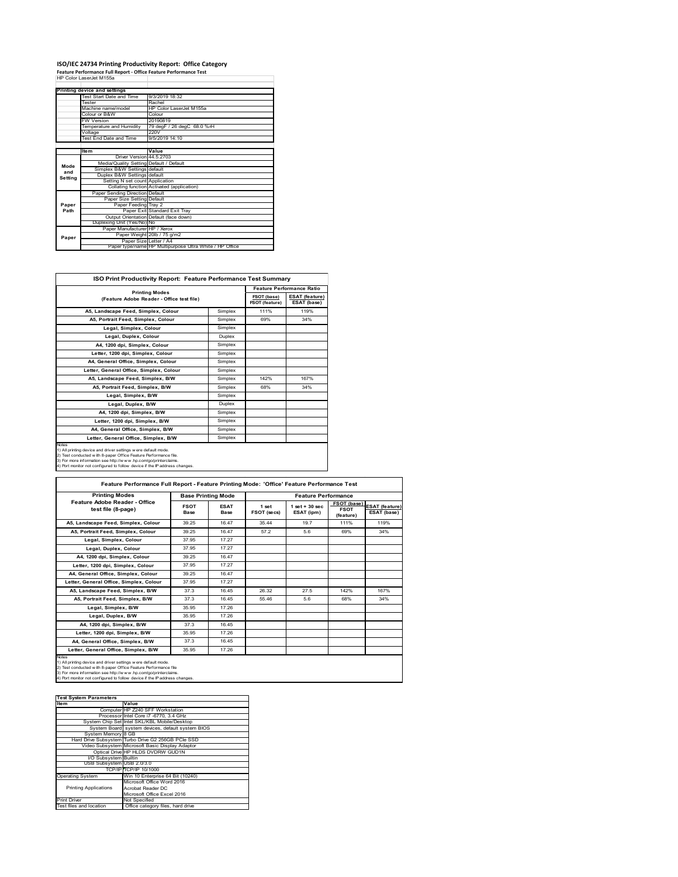## **ISO/IEC 24734 Printing Productivity Report: Office Category Feature Performance Full Report ‐ Office Feature Performance Test** HP Color LaserJet M155a

|         | Printing device and settings            |                                                         |  |
|---------|-----------------------------------------|---------------------------------------------------------|--|
|         | Test Start Date and Time                | 9/3/2019 18:32                                          |  |
|         | Tester                                  | Rachel                                                  |  |
|         | Machine name/model                      | HP Color LaserJet M155a                                 |  |
|         | Colour or B&W                           | Colour                                                  |  |
|         | <b>FW Version</b>                       | 20190819                                                |  |
|         | Temperature and Humidity                | 79 degF / 26 degC 68.0 %rH                              |  |
|         | Voltage                                 | 220V                                                    |  |
|         | Test End Date and Time                  | 9/5/2019 14:10                                          |  |
|         |                                         |                                                         |  |
|         | <b>Item</b>                             | Value                                                   |  |
|         | Driver Version 44 5 2703                |                                                         |  |
| Mode    | Media/Quality Setting Default / Default |                                                         |  |
| and     | Simplex B&W Settings default            |                                                         |  |
| Setting | Duplex B&W Settings default             |                                                         |  |
|         | Setting N set count Application         |                                                         |  |
|         |                                         | Collating function Activated (application)              |  |
|         | Paper Sending Direction Default         |                                                         |  |
|         | Paper Size Setting Default              |                                                         |  |
| Paper   | Paper Feeding Tray 2                    |                                                         |  |
| Path    |                                         | Paper Exit Standard Exit Tray                           |  |
|         |                                         | Output Orientation Default (face down)                  |  |
|         | Duplexing Unit (Yes/No) No              |                                                         |  |
|         | Paper Manufacturer HP / Xerox           |                                                         |  |
| Paper   |                                         | Paper Weight 20lb / 75 g/m2                             |  |
|         | Paper Size Letter / A4                  |                                                         |  |
|         |                                         | Paper type/name HP Multipurpose Ultra White / HP Office |  |

| <b>ISO Print Productivity Report: Feature Performance Test Summary</b>                                                                                                                                                                                                                            |         |                               |                                      |  |  |
|---------------------------------------------------------------------------------------------------------------------------------------------------------------------------------------------------------------------------------------------------------------------------------------------------|---------|-------------------------------|--------------------------------------|--|--|
|                                                                                                                                                                                                                                                                                                   |         |                               | <b>Feature Performance Ratio</b>     |  |  |
| <b>Printing Modes</b><br>(Feature Adobe Reader - Office test file)                                                                                                                                                                                                                                |         | FSOT (base)<br>FSOT (feature) | <b>ESAT (feature)</b><br>ESAT (base) |  |  |
| A5, Landscape Feed, Simplex, Colour                                                                                                                                                                                                                                                               | Simplex | 111%                          | 119%                                 |  |  |
| A5. Portrait Feed. Simplex. Colour                                                                                                                                                                                                                                                                | Simplex | 69%                           | 34%                                  |  |  |
| Legal, Simplex, Colour                                                                                                                                                                                                                                                                            | Simplex |                               |                                      |  |  |
| Legal, Duplex, Colour                                                                                                                                                                                                                                                                             | Duplex  |                               |                                      |  |  |
| A4, 1200 dpi, Simplex, Colour                                                                                                                                                                                                                                                                     | Simplex |                               |                                      |  |  |
| Letter, 1200 dpi, Simplex, Colour                                                                                                                                                                                                                                                                 | Simplex |                               |                                      |  |  |
| A4. General Office. Simplex. Colour                                                                                                                                                                                                                                                               | Simplex |                               |                                      |  |  |
| Letter, General Office, Simplex, Colour                                                                                                                                                                                                                                                           | Simplex |                               |                                      |  |  |
| A5, Landscape Feed, Simplex, B/W                                                                                                                                                                                                                                                                  | Simplex | 142%                          | 167%                                 |  |  |
| A5, Portrait Feed, Simplex, B/W                                                                                                                                                                                                                                                                   | Simplex | 68%                           | 34%                                  |  |  |
| Legal, Simplex, B/W                                                                                                                                                                                                                                                                               | Simplex |                               |                                      |  |  |
| Legal, Duplex, B/W                                                                                                                                                                                                                                                                                | Duplex  |                               |                                      |  |  |
| A4, 1200 dpi, Simplex, B/W                                                                                                                                                                                                                                                                        | Simplex |                               |                                      |  |  |
| Letter, 1200 dpi. Simplex, B/W                                                                                                                                                                                                                                                                    | Simplex |                               |                                      |  |  |
| A4, General Office, Simplex, B/W                                                                                                                                                                                                                                                                  | Simplex |                               |                                      |  |  |
| Letter, General Office, Simplex, B/W                                                                                                                                                                                                                                                              | Simplex |                               |                                      |  |  |
| <b>Notes</b><br>1) All printing device and driver settings were default mode.<br>2) Test conducted with 8-paper Office Feature Performance file.<br>3) For more information see http://www.hp.com/go/printerclaims.<br>4) Port monitor not configured to follow device if the IP address changes. |         |                               |                                      |  |  |

| <b>Printing Modes</b>                               | <b>Base Printing Mode</b> |                     | <b>Feature Performance</b> |                                 |                                         |                                      |
|-----------------------------------------------------|---------------------------|---------------------|----------------------------|---------------------------------|-----------------------------------------|--------------------------------------|
| Feature Adobe Reader - Office<br>test file (8-page) | <b>FSOT</b><br>Base       | <b>ESAT</b><br>Base | 1 set<br>FSOT (secs)       | $1$ set + 30 sec.<br>ESAT (ipm) | FSOT (base)<br><b>FSOT</b><br>(feature) | <b>ESAT (feature)</b><br>ESAT (base) |
| A5, Landscape Feed, Simplex, Colour                 | 39.25                     | 16.47               | 35 44                      | 197                             | 111%                                    | 119%                                 |
| A5. Portrait Feed. Simplex. Colour                  | 39.25                     | 16.47               | 57.2                       | 5.6                             | 69%                                     | 34%                                  |
| Legal, Simplex, Colour                              | 37.95                     | 17.27               |                            |                                 |                                         |                                      |
| Legal, Duplex, Colour                               | 37.95                     | 17.27               |                            |                                 |                                         |                                      |
| A4, 1200 dpi, Simplex, Colour                       | 39.25                     | 16.47               |                            |                                 |                                         |                                      |
| Letter, 1200 dpi, Simplex, Colour                   | 37.95                     | 17.27               |                            |                                 |                                         |                                      |
| A4. General Office. Simplex. Colour                 | 39.25                     | 16.47               |                            |                                 |                                         |                                      |
| Letter, General Office, Simplex, Colour             | 37.95                     | 17.27               |                            |                                 |                                         |                                      |
| A5. Landscape Feed. Simplex. B/W                    | 37.3                      | 16.45               | 26.32                      | 27.5                            | 142%                                    | 167%                                 |
| A5, Portrait Feed, Simplex, B/W                     | 37.3                      | 16.45               | 55.46                      | 5.6                             | 68%                                     | 34%                                  |
| Legal, Simplex, B/W                                 | 35.95                     | 17.26               |                            |                                 |                                         |                                      |
| Legal, Duplex, B/W                                  | 35.95                     | 17.26               |                            |                                 |                                         |                                      |
| A4. 1200 dpi. Simplex. B/W                          | 37.3                      | 16.45               |                            |                                 |                                         |                                      |
| Letter, 1200 dpi, Simplex, B/W                      | 35.95                     | 17.26               |                            |                                 |                                         |                                      |
| A4. General Office. Simplex. B/W                    | 37.3                      | 16.45               |                            |                                 |                                         |                                      |
| Letter, General Office, Simplex, B/W                | 35.95                     | 17.26               |                            |                                 |                                         |                                      |

#### **Item Value Test System Parameters**0 SFF W Processor Intel Core i7 -6770, 3.4 GHz<br>System Chip Set Intel SKL/KBL Mobile/Desktop<br>System Board system devices, default system BIOS<br>System Memory 8 GB<br>Hard Drive Subsystem Turbo Drive G2 256GB PCIe SSD

|                              | Hard Drive Subsystem Hurbo Drive G2 256GB PCIe SSD |
|------------------------------|----------------------------------------------------|
|                              | Video Subsystem Microsoft Basic Display Adaptor    |
|                              | Optical Drive HP HLDS DVDRW GUD1N                  |
| I/O Subsystem Builtin        |                                                    |
| USB Subsystem USB 2.0/3.0    |                                                    |
|                              | TCP/IP/TCP/IP 10/1000                              |
|                              |                                                    |
| <b>Operating System</b>      | Win 10 Enterprise 64 Bit (10240)                   |
|                              | Microsoft Office Word 2016                         |
| <b>Printing Applications</b> | Acrobat Reader DC                                  |
|                              | Microsoft Office Excel 2016                        |
| <b>Print Driver</b>          | Not Specified                                      |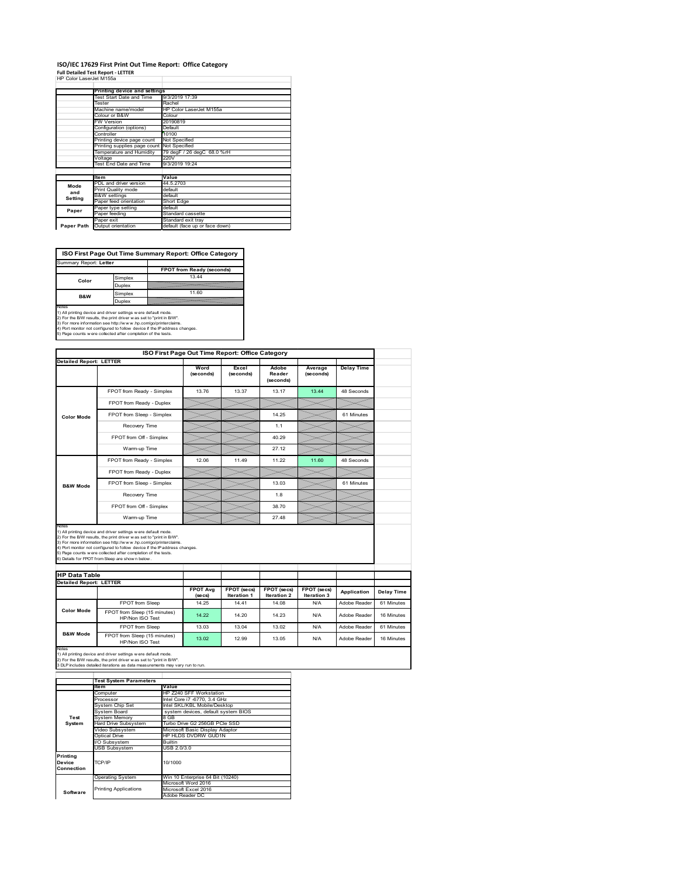### **ISO/IEC 17629 First Print Out Time Report: Office Category**

**Full Detailed Test Report ‐ LETTER** HP Color LaserJet M155a

| ווו שטטושובמסטוטטנואווטסט |                                            |                                |  |  |
|---------------------------|--------------------------------------------|--------------------------------|--|--|
|                           | Printing device and settings               |                                |  |  |
|                           | Test Start Date and Time                   | 9/3/2019 17:39                 |  |  |
|                           | Tester                                     | Rachel                         |  |  |
| Machine name/model        |                                            | HP Color LaserJet M155a        |  |  |
|                           | Colour or B&W                              | Colour                         |  |  |
|                           | <b>FW Version</b>                          | 20190819                       |  |  |
|                           | Configuration (options)                    | Default                        |  |  |
|                           | Controller                                 | 10100                          |  |  |
|                           | Printing device page count                 | Not Specified                  |  |  |
|                           | Printing supplies page count Not Specified |                                |  |  |
|                           | Temperature and Humidity                   | 79 degF / 26 degC 68.0 %rH     |  |  |
|                           | Voltage                                    | 220V                           |  |  |
|                           | Test End Date and Time                     | 9/3/2019 19:24                 |  |  |
|                           |                                            |                                |  |  |
|                           | <b>Item</b>                                | Value                          |  |  |
| Mode                      | PDL and driver version                     | 44.5.2703                      |  |  |
| and                       | Print Quality mode                         | default                        |  |  |
| Setting                   | <b>B&amp;W</b> settings                    | default                        |  |  |
|                           | Paper feed orientation                     | Short Edge                     |  |  |
| Paper                     | Paper type setting                         | default                        |  |  |
|                           | Paper feeding                              | Standard cassette              |  |  |
|                           | Paper exit                                 | Standard exit tray             |  |  |
| Paper Path                | Output orientation                         | default (face up or face down) |  |  |

**ISO First Page Out Time Summary Report: Office Category**

| Summary Report: Letter                                                                                                                                                                                                                                                             |         |                                                                            |
|------------------------------------------------------------------------------------------------------------------------------------------------------------------------------------------------------------------------------------------------------------------------------------|---------|----------------------------------------------------------------------------|
|                                                                                                                                                                                                                                                                                    |         | FPOT from Ready (seconds)                                                  |
| Color                                                                                                                                                                                                                                                                              | Simplex | 13 44                                                                      |
|                                                                                                                                                                                                                                                                                    | Duplex  |                                                                            |
| <b>B&amp;W</b>                                                                                                                                                                                                                                                                     | Simplex | 11.60                                                                      |
| Duplex                                                                                                                                                                                                                                                                             |         |                                                                            |
| Notes<br>1) All printing device and driver settings w ere default mode.<br>2) For the B/W results, the print driver was set to "print in B/W".<br>3) For more information see http://www.hp.com/go/printerclaims.<br>5) Page counts w ere collected after completion of the tests. |         | 4) Port monitor not configured to follow device if the IP address changes. |
|                                                                                                                                                                                                                                                                                    |         |                                                                            |

|                                                                 |                                                                                                                                                                                                                                                                                                                                                                                                             | ISO First Page Out Time Report: Office Category |                    |                              |                      |                   |            |
|-----------------------------------------------------------------|-------------------------------------------------------------------------------------------------------------------------------------------------------------------------------------------------------------------------------------------------------------------------------------------------------------------------------------------------------------------------------------------------------------|-------------------------------------------------|--------------------|------------------------------|----------------------|-------------------|------------|
| <b>Detailed Report: LETTER</b>                                  |                                                                                                                                                                                                                                                                                                                                                                                                             |                                                 |                    |                              |                      |                   |            |
|                                                                 |                                                                                                                                                                                                                                                                                                                                                                                                             | Word<br>(seconds)                               | Excel<br>(seconds) | Adobe<br>Reader<br>(seconds) | Average<br>(seconds) | <b>Delay Time</b> |            |
|                                                                 | FPOT from Ready - Simplex                                                                                                                                                                                                                                                                                                                                                                                   | 13.76                                           | 13.37              | 13.17                        | 13.44                | 48 Seconds        |            |
|                                                                 | FPOT from Ready - Duplex                                                                                                                                                                                                                                                                                                                                                                                    |                                                 |                    |                              |                      |                   |            |
| <b>Color Mode</b>                                               | FPOT from Sleep - Simplex                                                                                                                                                                                                                                                                                                                                                                                   |                                                 |                    | 14.25                        |                      | 61 Minutes        |            |
|                                                                 | Recovery Time                                                                                                                                                                                                                                                                                                                                                                                               |                                                 |                    | 1.1                          |                      |                   |            |
|                                                                 | FPOT from Off - Simplex                                                                                                                                                                                                                                                                                                                                                                                     |                                                 |                    | 40.29                        |                      |                   |            |
|                                                                 | Warm-up Time                                                                                                                                                                                                                                                                                                                                                                                                |                                                 |                    | 27.12                        |                      |                   |            |
|                                                                 | FPOT from Ready - Simplex                                                                                                                                                                                                                                                                                                                                                                                   | 12.06                                           | 11.49              | 11.22                        | 11.60                | 48 Seconds        |            |
|                                                                 | FPOT from Ready - Duplex                                                                                                                                                                                                                                                                                                                                                                                    |                                                 |                    |                              |                      |                   |            |
| <b>B&amp;W Mode</b>                                             | FPOT from Sleep - Simplex                                                                                                                                                                                                                                                                                                                                                                                   |                                                 |                    | 13.03                        |                      | 61 Minutes        |            |
|                                                                 | Recovery Time                                                                                                                                                                                                                                                                                                                                                                                               |                                                 |                    | 1.8                          |                      |                   |            |
|                                                                 |                                                                                                                                                                                                                                                                                                                                                                                                             |                                                 |                    |                              |                      |                   |            |
|                                                                 | FPOT from Off - Simplex                                                                                                                                                                                                                                                                                                                                                                                     |                                                 |                    | 38.70                        |                      |                   |            |
|                                                                 | Warm-up Time                                                                                                                                                                                                                                                                                                                                                                                                |                                                 |                    | 27.48                        |                      |                   |            |
| Notes<br><b>HP Data Table</b><br><b>Detailed Report: LETTER</b> | 1) All printing device and driver settings w ere default mode.<br>2) For the B/W results, the print driver was set to "print in B/W".<br>3) For more information see http://www.hp.com/go/printerclaims.<br>4) Port monitor not configured to follow device if the IP address changes.<br>5) Page counts w ere collected after completion of the tests.<br>6) Details for FPOT from Sleep are show n below. | <b>FPOT Avg</b>                                 | FPOT (secs)        | FPOT (secs)                  | FPOT (secs)          |                   |            |
|                                                                 |                                                                                                                                                                                                                                                                                                                                                                                                             | (se cs)                                         | Iteration 1        | Iteration 2                  | Iteration 3          | Application       | Delay Time |
| <b>Color Mode</b>                                               | FPOT from Sleep                                                                                                                                                                                                                                                                                                                                                                                             | 14.25                                           | 14.41              | 14.08                        | N/A                  | Adobe Reader      | 61 Minutes |
|                                                                 | FPOT from Sleep (15 minutes)<br>HP/Non ISO Test                                                                                                                                                                                                                                                                                                                                                             | 14.22                                           | 14.20              | 14.23                        | N/A                  | Adobe Reader      | 16 Minutes |
| <b>B&amp;W Mode</b>                                             | <b>FPOT from Sleep</b><br>FPOT from Sleep (15 minutes)                                                                                                                                                                                                                                                                                                                                                      | 13.03                                           | 13.04              | 13.02                        | N/A                  | Adobe Reader      | 61 Minutes |

|            | <b>Test System Parameters</b> |                                     |  |  |  |  |
|------------|-------------------------------|-------------------------------------|--|--|--|--|
|            | <b>Item</b>                   | Value                               |  |  |  |  |
|            | Computer                      | HP Z240 SFF Workstation             |  |  |  |  |
|            | Processor                     | Intel Core i7 -6770, 3.4 GHz        |  |  |  |  |
|            | System Chip Set               | Intel SKL/KBL Mobile/Desktop        |  |  |  |  |
|            | System Board                  | system devices, default system BIOS |  |  |  |  |
| Test       | <b>System Memory</b>          | 8 GB                                |  |  |  |  |
| System     | <b>Hard Drive Subsystem</b>   | Turbo Drive G2 256GB PCle SSD       |  |  |  |  |
|            | Video Subsystem               | Microsoft Basic Display Adaptor     |  |  |  |  |
|            | Optical Drive                 | HP HLDS DVDRW GUD1N                 |  |  |  |  |
|            | I/O Subsystem                 | Builtin                             |  |  |  |  |
|            | <b>USB Subsystem</b>          | USB 2.0/3.0                         |  |  |  |  |
| Printing   |                               |                                     |  |  |  |  |
| Device     | TCP/IP                        | 10/1000                             |  |  |  |  |
| Connection |                               |                                     |  |  |  |  |
|            | <b>Operating System</b>       | Win 10 Enterprise 64 Bit (10240)    |  |  |  |  |
|            |                               | Microsoft Word 2016                 |  |  |  |  |
| Software   | <b>Printing Applications</b>  | Microsoft Excel 2016                |  |  |  |  |
|            |                               | Adobe Reader DC                     |  |  |  |  |